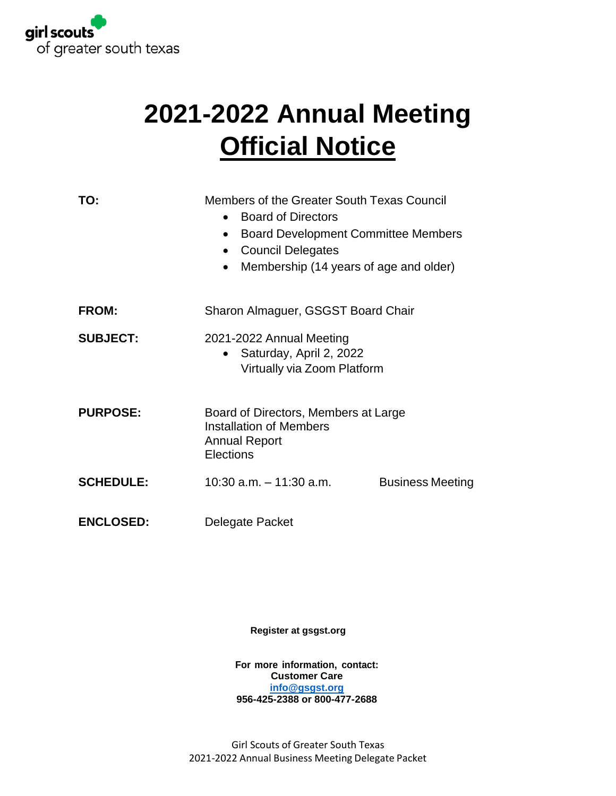

# **2021-2022 Annual Meeting Official Notice**

| TO:              | Members of the Greater South Texas Council<br><b>Board of Directors</b><br>$\bullet$<br><b>Board Development Committee Members</b><br>$\bullet$<br><b>Council Delegates</b><br>$\bullet$<br>Membership (14 years of age and older)<br>$\bullet$ |  |  |
|------------------|-------------------------------------------------------------------------------------------------------------------------------------------------------------------------------------------------------------------------------------------------|--|--|
| <b>FROM:</b>     | Sharon Almaguer, GSGST Board Chair                                                                                                                                                                                                              |  |  |
| <b>SUBJECT:</b>  | 2021-2022 Annual Meeting<br>• Saturday, April 2, 2022<br>Virtually via Zoom Platform                                                                                                                                                            |  |  |
| <b>PURPOSE:</b>  | Board of Directors, Members at Large<br><b>Installation of Members</b><br><b>Annual Report</b><br>Elections                                                                                                                                     |  |  |
| <b>SCHEDULE:</b> | $10:30$ a.m. $-11:30$ a.m.<br><b>Business Meeting</b>                                                                                                                                                                                           |  |  |
| <b>ENCLOSED:</b> | Delegate Packet                                                                                                                                                                                                                                 |  |  |

**Register at [gsgst.org](https://www.gsgst.org/en/events/AnnualMeetingAdultRecognition.html)**

**For more information, contact: Customer Care [info@gsgst.org](mailto:info@gsgst.org) 956-425-2388 or 800-477-2688**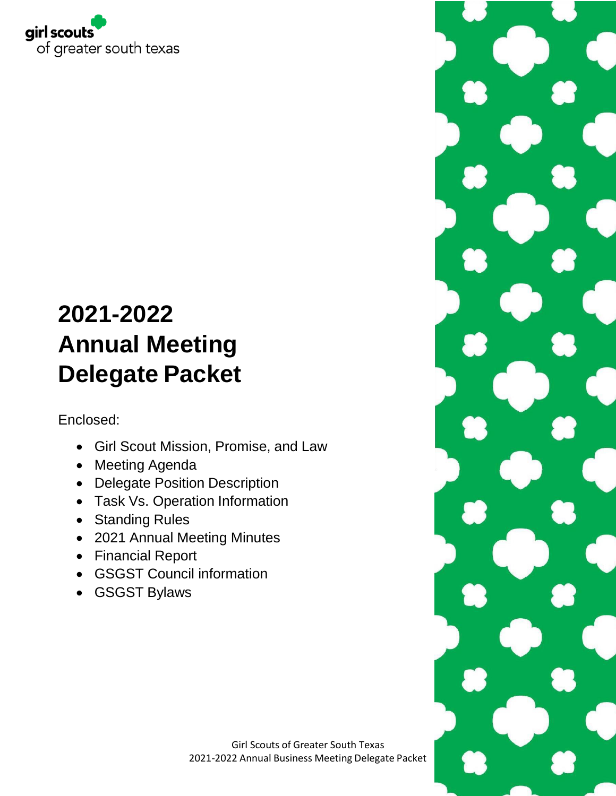

# **2021-2022 Annual Meeting Delegate Packet**

Enclosed:

- Girl Scout Mission, Promise, and Law
- Meeting Agenda
- Delegate Position Description
- Task Vs. Operation Information
- Standing Rules
- 2021 Annual Meeting Minutes
- Financial Report
- GSGST Council information
- GSGST Bylaws

Girl Scouts of Greater South Texas 2021-2022 Annual Business Meeting Delegate Packet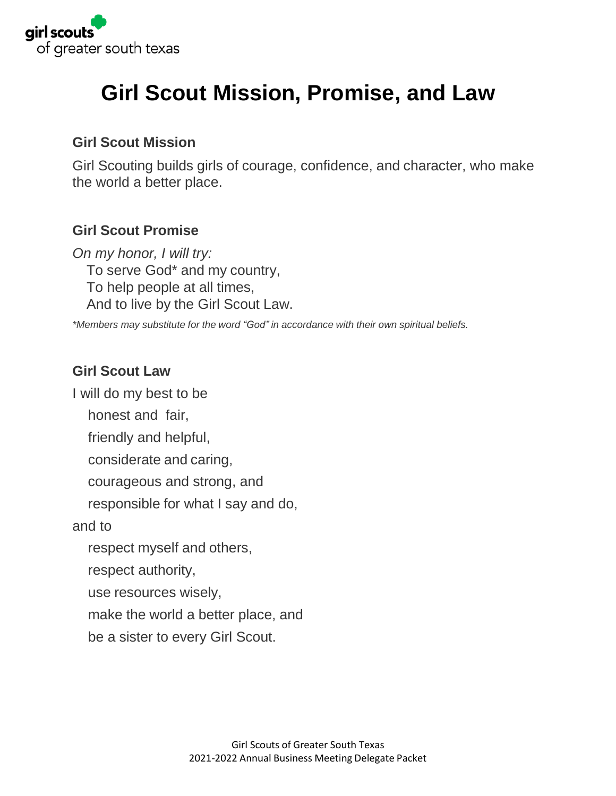

# **Girl Scout Mission, Promise, and Law**

### **Girl Scout Mission**

Girl Scouting builds girls of courage, confidence, and character, who make the world a better place.

## **Girl Scout Promise**

*On my honor, I will try:* To serve God\* and my country, To help people at all times, And to live by the Girl Scout Law.

*\*Members may substitute for the word "God" in accordance with their own spiritual beliefs.*

## **Girl Scout Law**

I will do my best to be

honest and fair,

friendly and helpful,

considerate and caring,

courageous and strong, and

responsible for what I say and do,

and to

respect myself and others,

respect authority,

use resources wisely,

make the world a better place, and

be a sister to every Girl Scout.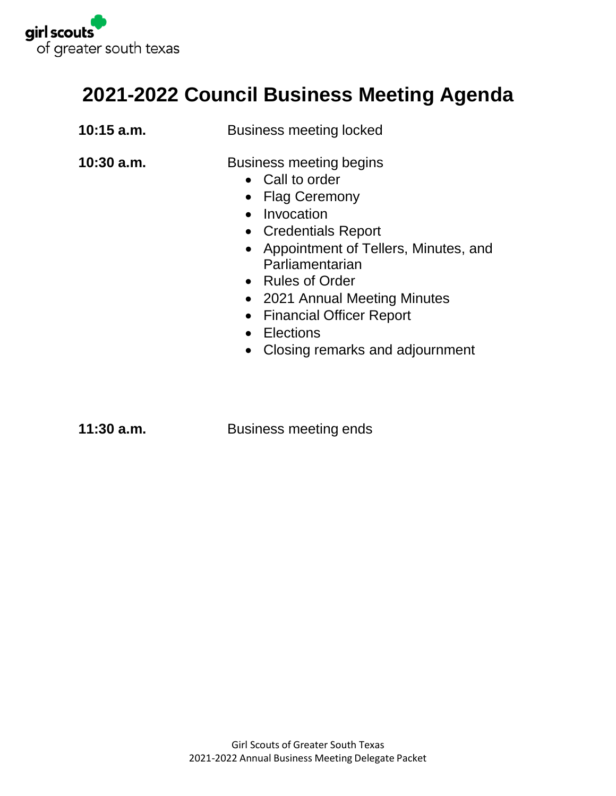

## **2021-2022 Council Business Meeting Agenda**

| $10:15$ a.m. | <b>Business meeting locked</b>                                                                                                                                                                                                                                                                                                             |
|--------------|--------------------------------------------------------------------------------------------------------------------------------------------------------------------------------------------------------------------------------------------------------------------------------------------------------------------------------------------|
| $10:30$ a.m. | Business meeting begins<br>• Call to order<br>• Flag Ceremony<br>Invocation<br>$\bullet$<br>• Credentials Report<br>• Appointment of Tellers, Minutes, and<br>Parliamentarian<br>• Rules of Order<br>• 2021 Annual Meeting Minutes<br>• Financial Officer Report<br>Elections<br>$\bullet$<br>Closing remarks and adjournment<br>$\bullet$ |
|              |                                                                                                                                                                                                                                                                                                                                            |

**11:30 a.m.** Business meeting ends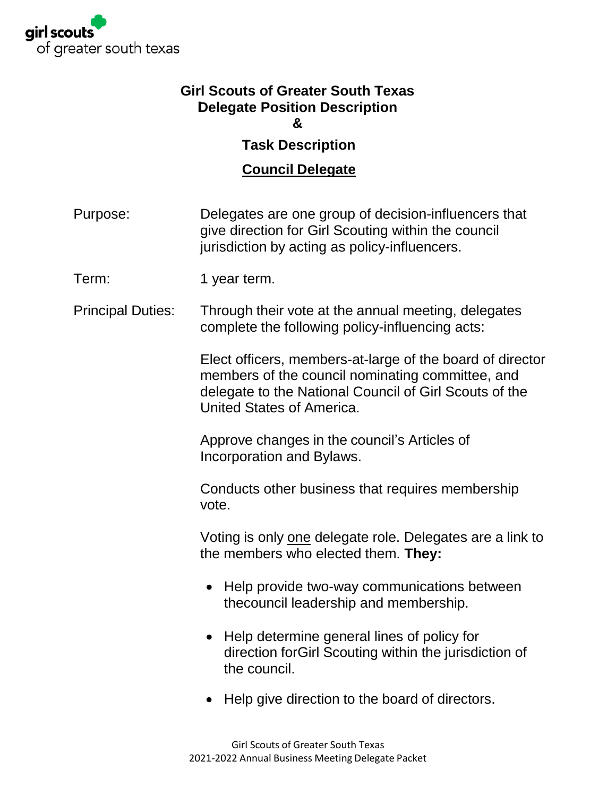

### **Girl Scouts of Greater South Texas Delegate Position Description &**

## **Task Description**

## **Council Delegate**

- Purpose: Delegates are one group of decision-influencers that give direction for Girl Scouting within the council jurisdiction by acting as policy-influencers.
- Term: 1 year term.
- Principal Duties: Through their vote at the annual meeting, delegates complete the following policy-influencing acts:

Elect officers, members-at-large of the board of director members of the council nominating committee, and delegate to the National Council of Girl Scouts of the United States of America.

Approve changes in the council's Articles of Incorporation and Bylaws.

Conducts other business that requires membership vote.

Voting is only one delegate role. Delegates are a link to the members who elected them. **They:**

- Help provide two-way communications between thecouncil leadership and membership.
- Help determine general lines of policy for direction forGirl Scouting within the jurisdiction of the council.
- Help give direction to the board of directors.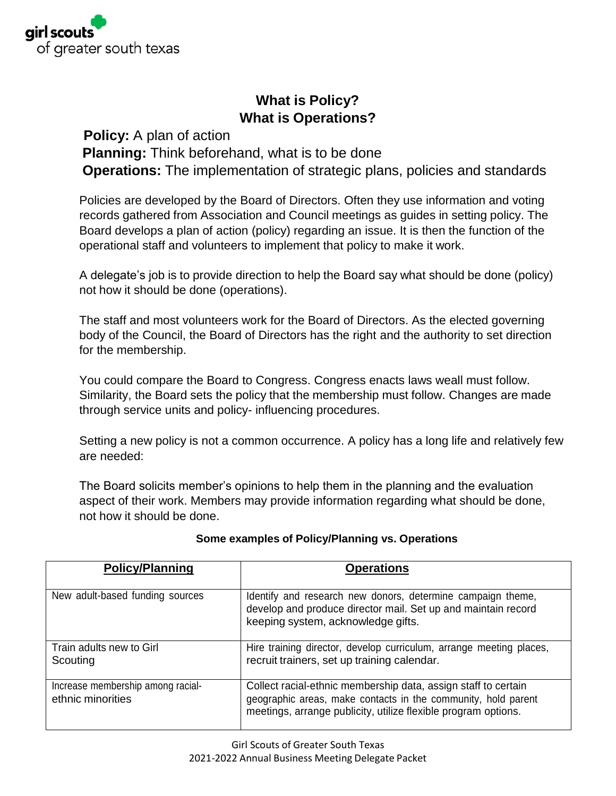

## **What is Policy? What is Operations?**

#### **Policy:** A plan of action

**Planning:** Think beforehand, what is to be done

**Operations:** The implementation of strategic plans, policies and standards

Policies are developed by the Board of Directors. Often they use information and voting records gathered from Association and Council meetings as guides in setting policy. The Board develops a plan of action (policy) regarding an issue. It is then the function of the operational staff and volunteers to implement that policy to make it work.

A delegate's job is to provide direction to help the Board say what should be done (policy) not how it should be done (operations).

The staff and most volunteers work for the Board of Directors. As the elected governing body of the Council, the Board of Directors has the right and the authority to set direction for the membership.

You could compare the Board to Congress. Congress enacts laws weall must follow. Similarity, the Board sets the policy that the membership must follow. Changes are made through service units and policy- influencing procedures.

Setting a new policy is not a common occurrence. A policy has a long life and relatively few are needed:

The Board solicits member's opinions to help them in the planning and the evaluation aspect of their work. Members may provide information regarding what should be done, not how it should be done.

| <b>Policy/Planning</b>                                 | <b>Operations</b>                                                                                                                                                                                 |
|--------------------------------------------------------|---------------------------------------------------------------------------------------------------------------------------------------------------------------------------------------------------|
| New adult-based funding sources                        | Identify and research new donors, determine campaign theme,<br>develop and produce director mail. Set up and maintain record<br>keeping system, acknowledge gifts.                                |
| Train adults new to Girl<br>Scouting                   | Hire training director, develop curriculum, arrange meeting places,<br>recruit trainers, set up training calendar.                                                                                |
| Increase membership among racial-<br>ethnic minorities | Collect racial-ethnic membership data, assign staff to certain<br>geographic areas, make contacts in the community, hold parent<br>meetings, arrange publicity, utilize flexible program options. |

#### **Some examples of Policy/Planning vs. Operations**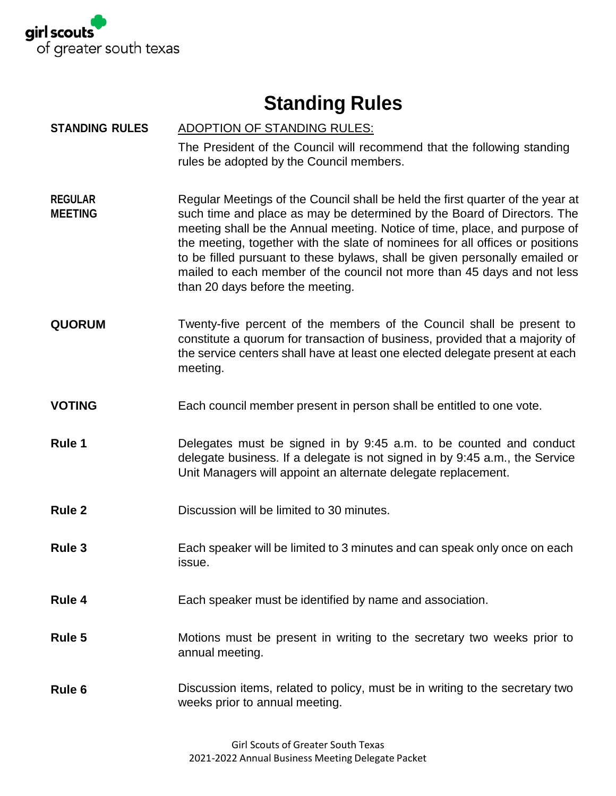

# **Standing Rules**

| <b>STANDING RULES</b>            | <b>ADOPTION OF STANDING RULES:</b><br>The President of the Council will recommend that the following standing<br>rules be adopted by the Council members.                                                                                                                                                                                                                                                                                                                                                              |
|----------------------------------|------------------------------------------------------------------------------------------------------------------------------------------------------------------------------------------------------------------------------------------------------------------------------------------------------------------------------------------------------------------------------------------------------------------------------------------------------------------------------------------------------------------------|
| <b>REGULAR</b><br><b>MEETING</b> | Regular Meetings of the Council shall be held the first quarter of the year at<br>such time and place as may be determined by the Board of Directors. The<br>meeting shall be the Annual meeting. Notice of time, place, and purpose of<br>the meeting, together with the slate of nominees for all offices or positions<br>to be filled pursuant to these bylaws, shall be given personally emailed or<br>mailed to each member of the council not more than 45 days and not less<br>than 20 days before the meeting. |
| <b>QUORUM</b>                    | Twenty-five percent of the members of the Council shall be present to<br>constitute a quorum for transaction of business, provided that a majority of<br>the service centers shall have at least one elected delegate present at each<br>meeting.                                                                                                                                                                                                                                                                      |
| <b>VOTING</b>                    | Each council member present in person shall be entitled to one vote.                                                                                                                                                                                                                                                                                                                                                                                                                                                   |
| Rule 1                           | Delegates must be signed in by 9:45 a.m. to be counted and conduct<br>delegate business. If a delegate is not signed in by 9:45 a.m., the Service<br>Unit Managers will appoint an alternate delegate replacement.                                                                                                                                                                                                                                                                                                     |
| <b>Rule 2</b>                    | Discussion will be limited to 30 minutes.                                                                                                                                                                                                                                                                                                                                                                                                                                                                              |
| Rule 3                           | Each speaker will be limited to 3 minutes and can speak only once on each<br>issue.                                                                                                                                                                                                                                                                                                                                                                                                                                    |
| Rule 4                           | Each speaker must be identified by name and association.                                                                                                                                                                                                                                                                                                                                                                                                                                                               |
| Rule 5                           | Motions must be present in writing to the secretary two weeks prior to<br>annual meeting.                                                                                                                                                                                                                                                                                                                                                                                                                              |
| Rule 6                           | Discussion items, related to policy, must be in writing to the secretary two<br>weeks prior to annual meeting.                                                                                                                                                                                                                                                                                                                                                                                                         |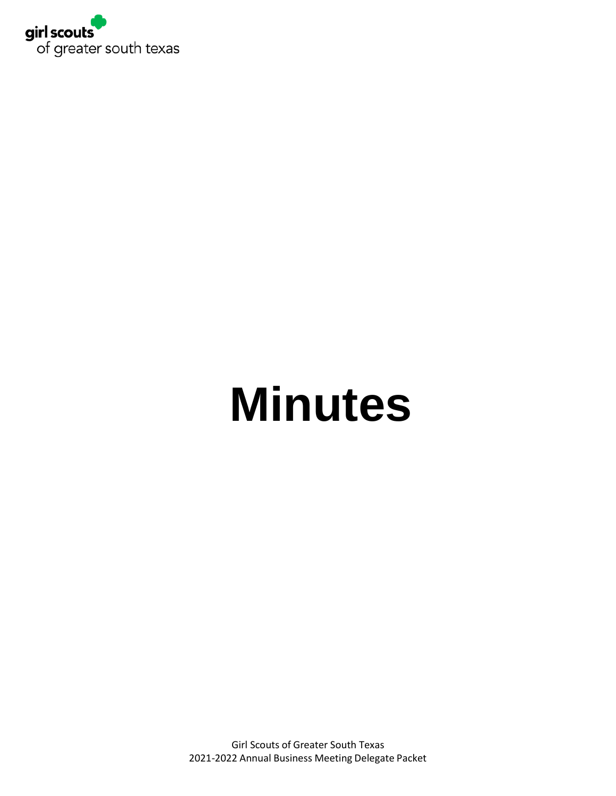

# **Minutes**

Girl Scouts of Greater South Texas 2021-2022 Annual Business Meeting Delegate Packet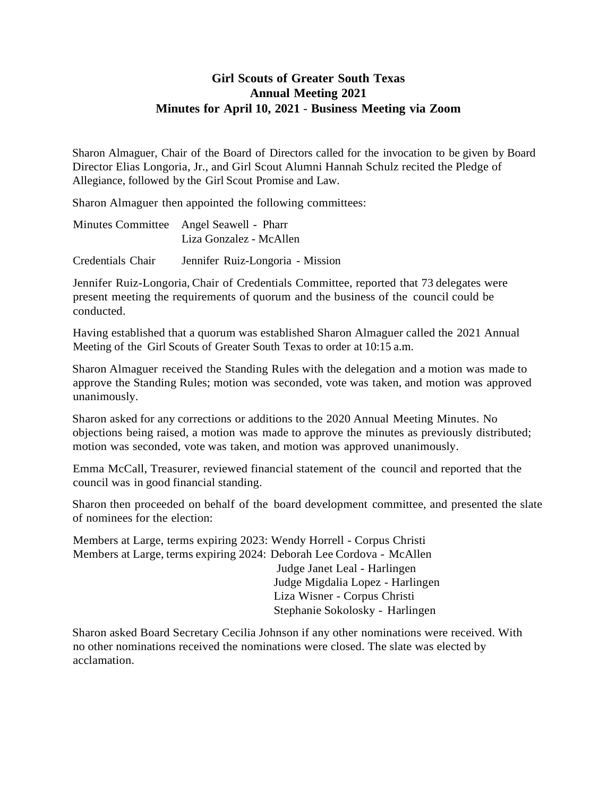#### **Girl Scouts of Greater South Texas Annual Meeting 2021 Minutes for April 10, 2021** - **Business Meeting via Zoom**

Sharon Almaguer, Chair of the Board of Directors called for the invocation to be given by Board Director Elias Longoria, Jr., and Girl Scout Alumni Hannah Schulz recited the Pledge of Allegiance, followed by the Girl Scout Promise and Law.

Sharon Almaguer then appointed the following committees:

| Minutes Committee Angel Seawell - Pharr |
|-----------------------------------------|
| Liza Gonzalez - McAllen                 |

Credentials Chair Jennifer Ruiz-Longoria - Mission

Jennifer Ruiz-Longoria, Chair of Credentials Committee, reported that 73 delegates were present meeting the requirements of quorum and the business of the council could be conducted.

Having established that a quorum was established Sharon Almaguer called the 2021 Annual Meeting of the Girl Scouts of Greater South Texas to order at 10:15 a.m.

Sharon Almaguer received the Standing Rules with the delegation and a motion was made to approve the Standing Rules; motion was seconded, vote was taken, and motion was approved unanimously.

Sharon asked for any corrections or additions to the 2020 Annual Meeting Minutes. No objections being raised, a motion was made to approve the minutes as previously distributed; motion was seconded, vote was taken, and motion was approved unanimously.

Emma McCall, Treasurer, reviewed financial statement of the council and reported that the council was in good financial standing.

Sharon then proceeded on behalf of the board development committee, and presented the slate of nominees for the election:

Members at Large, terms expiring 2023: Wendy Horrell - Corpus Christi Members at Large, terms expiring 2024: Deborah Lee Cordova - McAllen Judge Janet Leal - Harlingen Judge Migdalia Lopez - Harlingen Liza Wisner - Corpus Christi Stephanie Sokolosky - Harlingen

Sharon asked Board Secretary Cecilia Johnson if any other nominations were received. With no other nominations received the nominations were closed. The slate was elected by acclamation.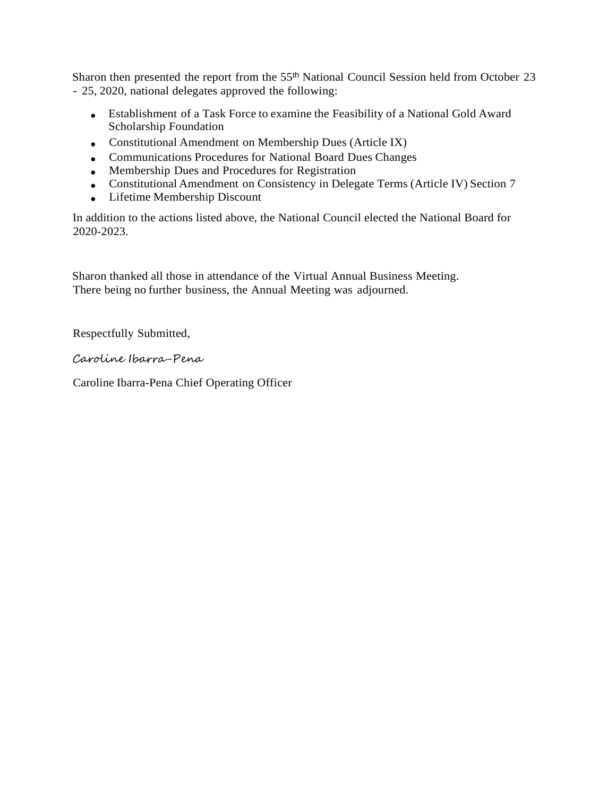Sharon then presented the report from the 55<sup>th</sup> National Council Session held from October 23 - 25, 2020, national delegates approved the following:

- Establishment of a Task Force to examine the Feasibility of a National Gold Award Scholarship Foundation
- Constitutional Amendment on Membership Dues (Article IX)
- Communications Procedures for National Board Dues Changes
- Membership Dues and Procedures for Registration
- Constitutional Amendment on Consistency in Delegate Terms (Article IV) Section 7
- Lifetime Membership Discount

In addition to the actions listed above, the National Council elected the National Board for 2020-2023.

Sharon thanked all those in attendance of the Virtual Annual Business Meeting. There being no further business, the Annual Meeting was adjourned.

Respectfully Submitted,

Caroline Ibarra-Pena

Caroline Ibarra-Pena Chief Operating Officer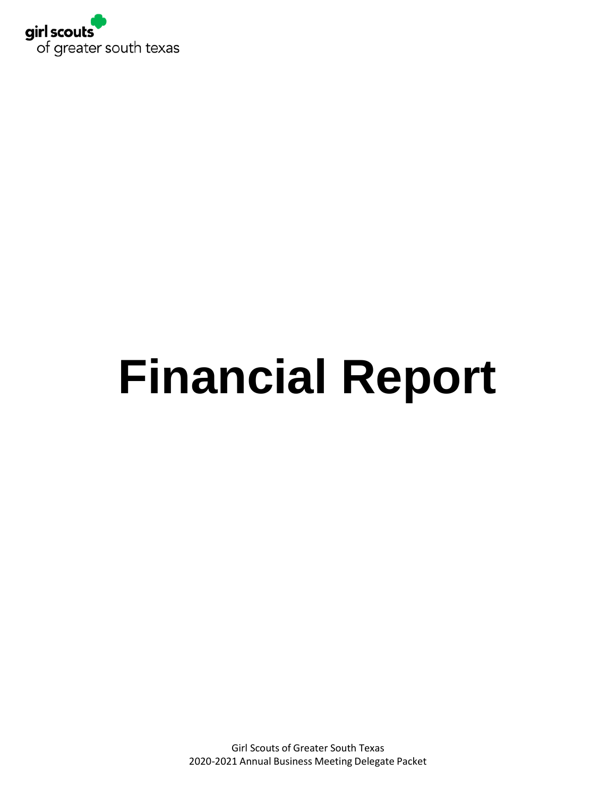

# **Financial Report**

Girl Scouts of Greater South Texas 2020-2021 Annual Business Meeting Delegate Packet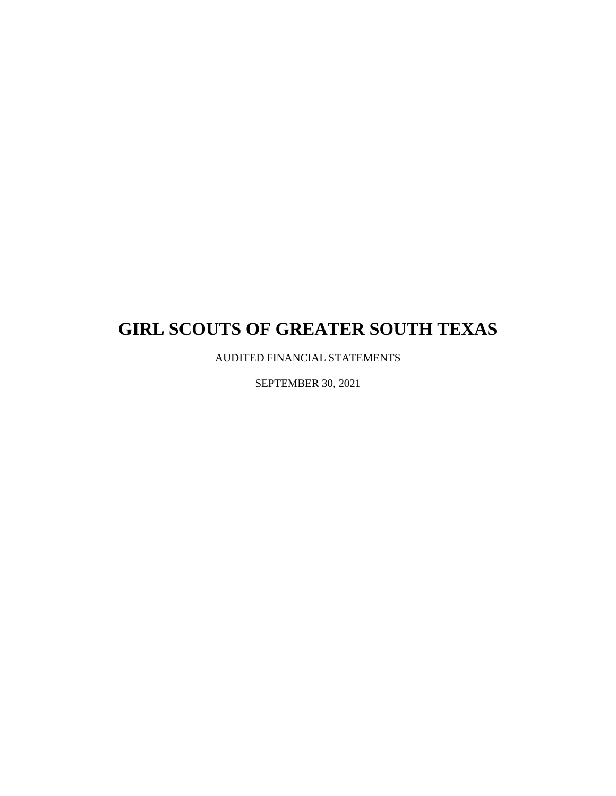AUDITED FINANCIAL STATEMENTS

SEPTEMBER 30, 2021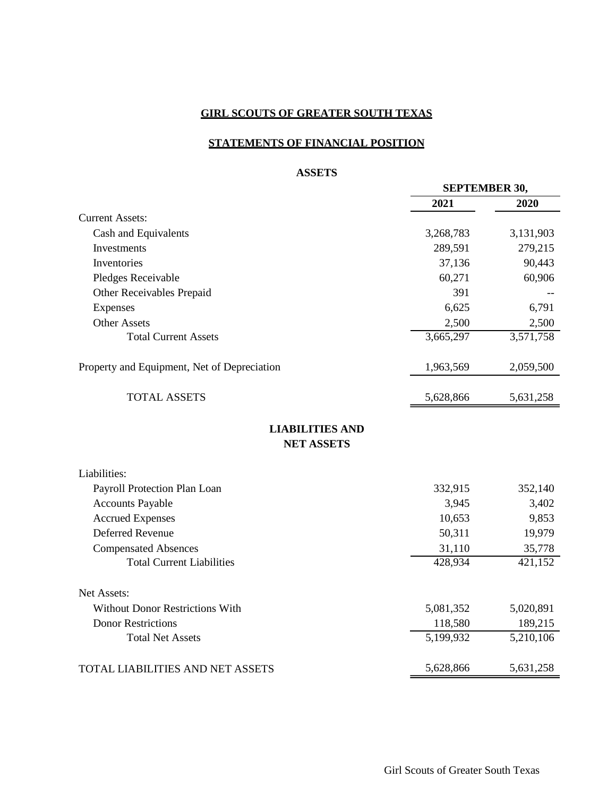#### **STATEMENTS OF FINANCIAL POSITION**

#### **ASSETS**

|                                             |           | <b>SEPTEMBER 30,</b>   |  |
|---------------------------------------------|-----------|------------------------|--|
|                                             | 2021      | 2020                   |  |
| <b>Current Assets:</b>                      |           |                        |  |
| Cash and Equivalents                        | 3,268,783 | 3,131,903              |  |
| Investments                                 | 289,591   | 279,215                |  |
| Inventories                                 | 37,136    | 90,443                 |  |
| Pledges Receivable                          | 60,271    | 60,906                 |  |
| Other Receivables Prepaid                   | 391       |                        |  |
| Expenses                                    | 6,625     | 6,791                  |  |
| <b>Other Assets</b>                         | 2,500     | 2,500                  |  |
| <b>Total Current Assets</b>                 | 3,665,297 | $\overline{3,}571,758$ |  |
| Property and Equipment, Net of Depreciation | 1,963,569 | 2,059,500              |  |
| <b>TOTAL ASSETS</b>                         | 5,628,866 | 5,631,258              |  |
| <b>LIABILITIES AND</b><br><b>NET ASSETS</b> |           |                        |  |
| Liabilities:                                |           |                        |  |
| Payroll Protection Plan Loan                | 332,915   | 352,140                |  |
| <b>Accounts Payable</b>                     | 3,945     | 3,402                  |  |
| <b>Accrued Expenses</b>                     | 10,653    | 9,853                  |  |
| <b>Deferred Revenue</b>                     | 50,311    | 19,979                 |  |
| <b>Compensated Absences</b>                 | 31,110    | 35,778                 |  |
| <b>Total Current Liabilities</b>            | 428,934   | 421,152                |  |
| Net Assets:                                 |           |                        |  |
| Without Donor Restrictions With             | 5,081,352 | 5,020,891              |  |
| <b>Donor Restrictions</b>                   | 118,580   | 189,215                |  |
| <b>Total Net Assets</b>                     | 5,199,932 | 5,210,106              |  |
| TOTAL LIABILITIES AND NET ASSETS            | 5,628,866 | 5,631,258              |  |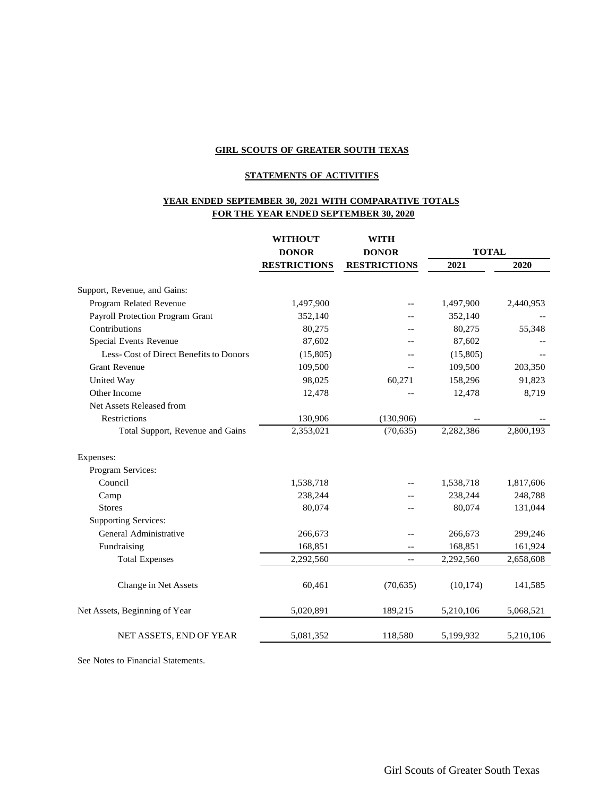#### **STATEMENTS OF ACTIVITIES**

#### **YEAR ENDED SEPTEMBER 30, 2021 WITH COMPARATIVE TOTALS FOR THE YEAR ENDED SEPTEMBER 30, 2020**

|                                        | <b>WITHOUT</b>      | <b>WITH</b>         |              |           |  |
|----------------------------------------|---------------------|---------------------|--------------|-----------|--|
|                                        | <b>DONOR</b>        | <b>DONOR</b>        | <b>TOTAL</b> |           |  |
|                                        | <b>RESTRICTIONS</b> | <b>RESTRICTIONS</b> | 2021         | 2020      |  |
| Support, Revenue, and Gains:           |                     |                     |              |           |  |
| Program Related Revenue                | 1,497,900           |                     | 1,497,900    | 2,440,953 |  |
| Payroll Protection Program Grant       | 352,140             |                     | 352,140      |           |  |
| Contributions                          | 80,275              |                     | 80,275       | 55,348    |  |
| Special Events Revenue                 | 87,602              |                     | 87,602       |           |  |
| Less-Cost of Direct Benefits to Donors | (15,805)            |                     | (15,805)     |           |  |
| <b>Grant Revenue</b>                   | 109,500             | $-$                 | 109,500      | 203,350   |  |
| United Way                             | 98,025              | 60,271              | 158,296      | 91,823    |  |
| Other Income                           | 12,478              |                     | 12,478       | 8,719     |  |
| Net Assets Released from               |                     |                     |              |           |  |
| Restrictions                           | 130,906             | (130,906)           |              |           |  |
| Total Support, Revenue and Gains       | 2,353,021           | (70, 635)           | 2,282,386    | 2,800,193 |  |
| Expenses:                              |                     |                     |              |           |  |
| Program Services:                      |                     |                     |              |           |  |
| Council                                | 1,538,718           |                     | 1,538,718    | 1,817,606 |  |
| Camp                                   | 238,244             |                     | 238,244      | 248,788   |  |
| <b>Stores</b>                          | 80,074              |                     | 80,074       | 131,044   |  |
| <b>Supporting Services:</b>            |                     |                     |              |           |  |
| General Administrative                 | 266,673             |                     | 266,673      | 299,246   |  |
| Fundraising                            | 168,851             | $-$                 | 168,851      | 161,924   |  |
| <b>Total Expenses</b>                  | 2,292,560           | $-$                 | 2,292,560    | 2,658,608 |  |
| Change in Net Assets                   | 60,461              | (70, 635)           | (10, 174)    | 141,585   |  |
| Net Assets, Beginning of Year          | 5,020,891           | 189,215             | 5,210,106    | 5,068,521 |  |
| NET ASSETS, END OF YEAR                | 5,081,352           | 118,580             | 5,199,932    | 5,210,106 |  |
|                                        |                     |                     |              |           |  |

See Notes to Financial Statements.

Girl Scouts of Greater South Texas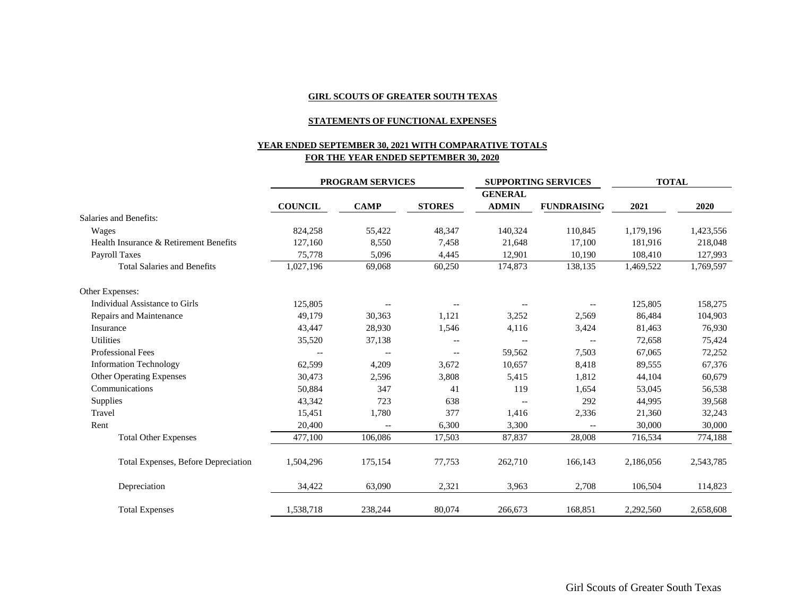#### **STATEMENTS OF FUNCTIONAL EXPENSES**

#### **YEAR ENDED SEPTEMBER 30, 2021 WITH COMPARATIVE TOTALS FOR THE YEAR ENDED SEPTEMBER 30, 2020**

|                                            | <b>PROGRAM SERVICES</b>  |                          | <b>SUPPORTING SERVICES</b> |                                | <b>TOTAL</b>                                        |           |           |
|--------------------------------------------|--------------------------|--------------------------|----------------------------|--------------------------------|-----------------------------------------------------|-----------|-----------|
|                                            | <b>COUNCIL</b>           | <b>CAMP</b>              | <b>STORES</b>              | <b>GENERAL</b><br><b>ADMIN</b> | <b>FUNDRAISING</b>                                  | 2021      | 2020      |
| <b>Salaries and Benefits:</b>              |                          |                          |                            |                                |                                                     |           |           |
| Wages                                      | 824,258                  | 55,422                   | 48,347                     | 140,324                        | 110,845                                             | 1,179,196 | 1,423,556 |
| Health Insurance & Retirement Benefits     | 127,160                  | 8,550                    | 7,458                      | 21,648                         | 17,100                                              | 181,916   | 218,048   |
| <b>Payroll Taxes</b>                       | 75,778                   | 5,096                    | 4,445                      | 12,901                         | 10,190                                              | 108,410   | 127,993   |
| <b>Total Salaries and Benefits</b>         | 1,027,196                | 69,068                   | 60,250                     | 174,873                        | 138,135                                             | 1,469,522 | 1,769,597 |
| Other Expenses:                            |                          |                          |                            |                                |                                                     |           |           |
| Individual Assistance to Girls             | 125,805                  | $-\,$ $-$                | $\qquad \qquad -$          |                                | $\hspace{0.05cm} -\hspace{0.05cm} -\hspace{0.05cm}$ | 125,805   | 158,275   |
| Repairs and Maintenance                    | 49,179                   | 30,363                   | 1,121                      | 3,252                          | 2,569                                               | 86,484    | 104,903   |
| Insurance                                  | 43,447                   | 28,930                   | 1,546                      | 4,116                          | 3,424                                               | 81,463    | 76,930    |
| <b>Utilities</b>                           | 35,520                   | 37,138                   | $-$                        | $\overline{\phantom{a}}$       | $-$                                                 | 72,658    | 75,424    |
| <b>Professional Fees</b>                   | $\overline{\phantom{m}}$ | $\overline{\phantom{m}}$ | $\overline{\phantom{a}}$   | 59,562                         | 7,503                                               | 67,065    | 72,252    |
| <b>Information Technology</b>              | 62,599                   | 4,209                    | 3,672                      | 10.657                         | 8,418                                               | 89,555    | 67,376    |
| <b>Other Operating Expenses</b>            | 30,473                   | 2,596                    | 3,808                      | 5,415                          | 1,812                                               | 44,104    | 60,679    |
| Communications                             | 50,884                   | 347                      | 41                         | 119                            | 1,654                                               | 53,045    | 56,538    |
| Supplies                                   | 43,342                   | 723                      | 638                        | $\qquad \qquad -$              | 292                                                 | 44,995    | 39,568    |
| Travel                                     | 15,451                   | 1,780                    | 377                        | 1,416                          | 2,336                                               | 21,360    | 32,243    |
| Rent                                       | 20,400                   | $-$                      | 6,300                      | 3,300                          |                                                     | 30,000    | 30,000    |
| <b>Total Other Expenses</b>                | 477,100                  | 106,086                  | 17,503                     | 87,837                         | 28,008                                              | 716,534   | 774,188   |
| <b>Total Expenses, Before Depreciation</b> | 1,504,296                | 175,154                  | 77,753                     | 262,710                        | 166,143                                             | 2,186,056 | 2,543,785 |
| Depreciation                               | 34,422                   | 63,090                   | 2,321                      | 3,963                          | 2,708                                               | 106,504   | 114,823   |
| <b>Total Expenses</b>                      | 1,538,718                | 238,244                  | 80,074                     | 266,673                        | 168,851                                             | 2,292,560 | 2,658,608 |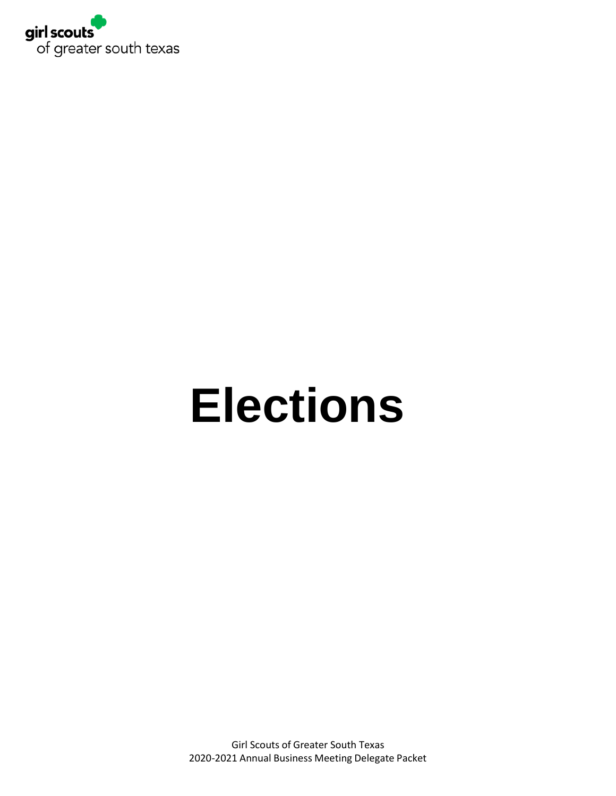

# **Elections**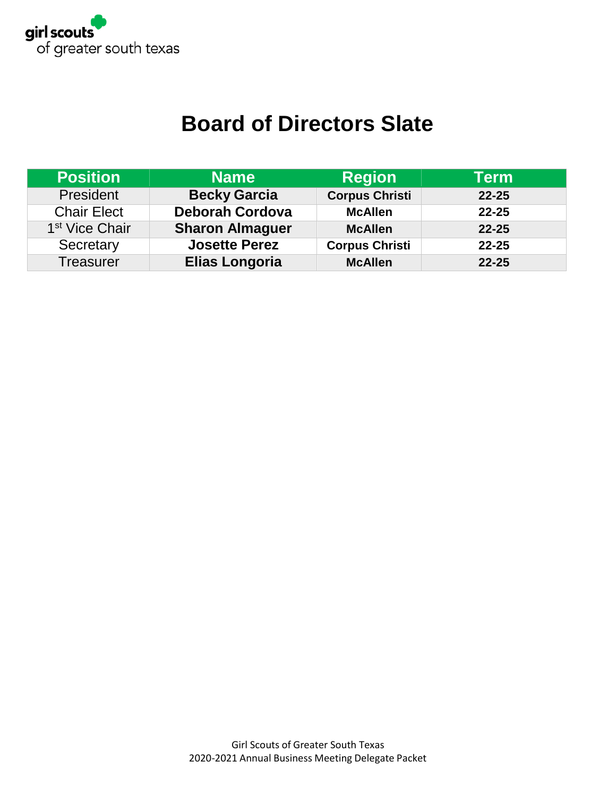

# **Board of Directors Slate**

| <b>Position</b>            | <b>Name</b>            | <b>Region</b>         | Term      |
|----------------------------|------------------------|-----------------------|-----------|
| President                  | <b>Becky Garcia</b>    | <b>Corpus Christi</b> | $22 - 25$ |
| <b>Chair Elect</b>         | <b>Deborah Cordova</b> | <b>McAllen</b>        | $22 - 25$ |
| 1 <sup>st</sup> Vice Chair | <b>Sharon Almaguer</b> | <b>McAllen</b>        | $22 - 25$ |
| Secretary                  | <b>Josette Perez</b>   | <b>Corpus Christi</b> | $22 - 25$ |
| <b>Treasurer</b>           | <b>Elias Longoria</b>  | <b>McAllen</b>        | $22 - 25$ |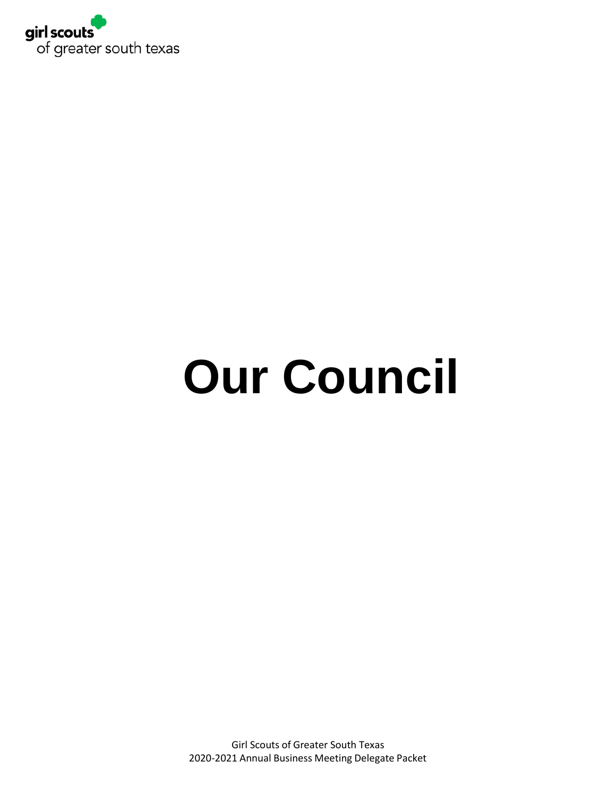

# **Our Council**

Girl Scouts of Greater South Texas 2020-2021 Annual Business Meeting Delegate Packet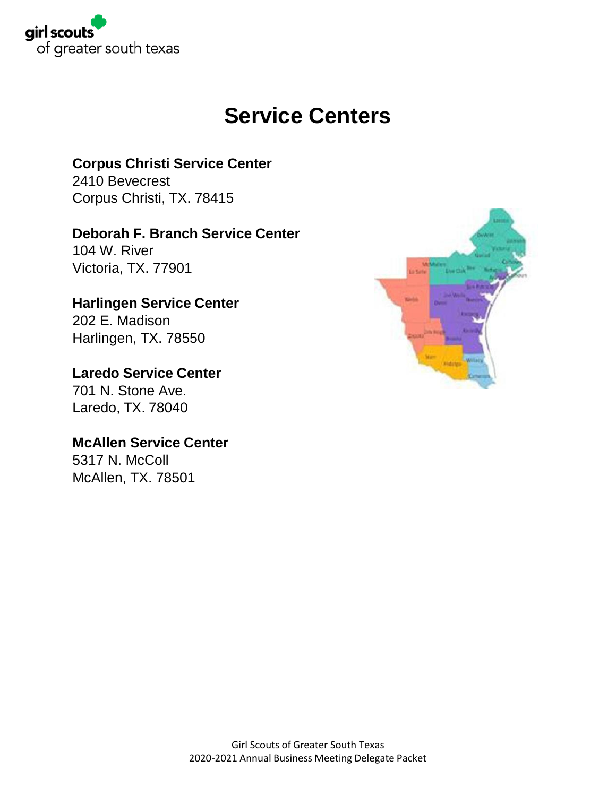

## **Service Centers**

## **Corpus Christi Service Center**

2410 Bevecrest Corpus Christi, TX. 78415

## **Deborah F. Branch Service Center**

104 W. River Victoria, TX. 77901

## **Harlingen Service Center**

202 E. Madison Harlingen, TX. 78550

## **Laredo Service Center**

701 N. Stone Ave. Laredo, TX. 78040

## **McAllen Service Center**

5317 N. McColl McAllen, TX. 78501

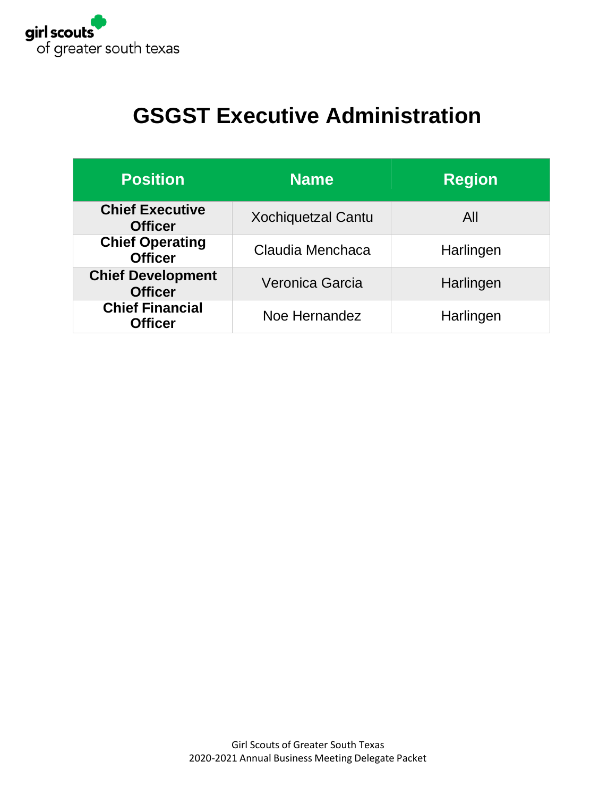

# **GSGST Executive Administration**

| <b>Position</b>                            | <b>Name</b>               | <b>Region</b> |
|--------------------------------------------|---------------------------|---------------|
| <b>Chief Executive</b><br><b>Officer</b>   | <b>Xochiquetzal Cantu</b> | All           |
| <b>Chief Operating</b><br><b>Officer</b>   | Claudia Menchaca          | Harlingen     |
| <b>Chief Development</b><br><b>Officer</b> | Veronica Garcia           | Harlingen     |
| <b>Chief Financial</b><br><b>Officer</b>   | Noe Hernandez             | Harlingen     |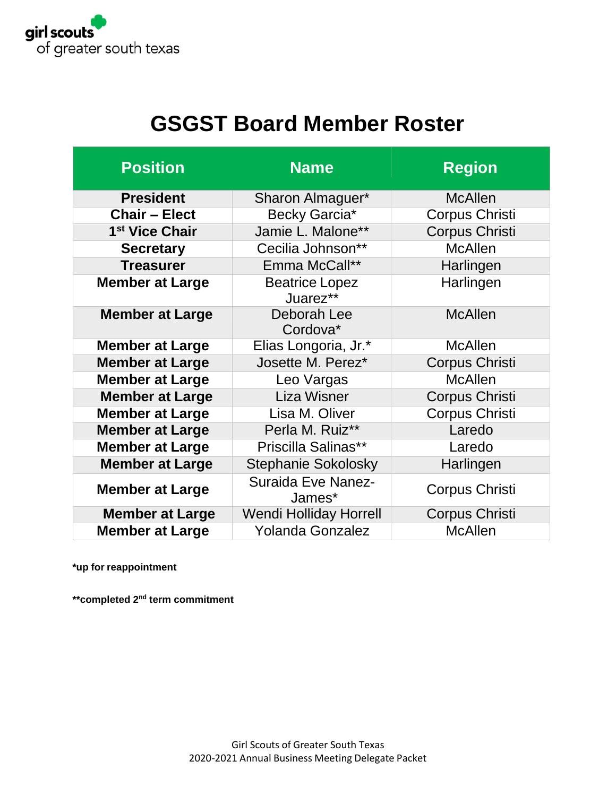

# **GSGST Board Member Roster**

| <b>Position</b>            | <b>Name</b>                         | <b>Region</b>         |
|----------------------------|-------------------------------------|-----------------------|
| <b>President</b>           | Sharon Almaguer*                    | <b>McAllen</b>        |
| <b>Chair - Elect</b>       | Becky Garcia*                       | <b>Corpus Christi</b> |
| 1 <sup>st</sup> Vice Chair | Jamie L. Malone**                   | <b>Corpus Christi</b> |
| <b>Secretary</b>           | Cecilia Johnson**                   | <b>McAllen</b>        |
| <b>Treasurer</b>           | Emma McCall**                       | Harlingen             |
| <b>Member at Large</b>     | <b>Beatrice Lopez</b><br>Juarez**   | Harlingen             |
| <b>Member at Large</b>     | Deborah Lee<br>Cordova*             | <b>McAllen</b>        |
| <b>Member at Large</b>     | Elias Longoria, Jr.*                | <b>McAllen</b>        |
| <b>Member at Large</b>     | Josette M. Perez*                   | <b>Corpus Christi</b> |
| <b>Member at Large</b>     | Leo Vargas                          | <b>McAllen</b>        |
| <b>Member at Large</b>     | <b>Liza Wisner</b>                  | <b>Corpus Christi</b> |
| <b>Member at Large</b>     | Lisa M. Oliver                      | <b>Corpus Christi</b> |
| <b>Member at Large</b>     | Perla M. Ruiz**                     | Laredo                |
| <b>Member at Large</b>     | Priscilla Salinas**                 | Laredo                |
| <b>Member at Large</b>     | <b>Stephanie Sokolosky</b>          | Harlingen             |
| <b>Member at Large</b>     | <b>Suraida Eve Nanez-</b><br>James* | <b>Corpus Christi</b> |
| <b>Member at Large</b>     | <b>Wendi Holliday Horrell</b>       | <b>Corpus Christi</b> |
| <b>Member at Large</b>     | <b>Yolanda Gonzalez</b>             | <b>McAllen</b>        |

**\*up for reappointment**

**\*\*completed 2 nd term commitment**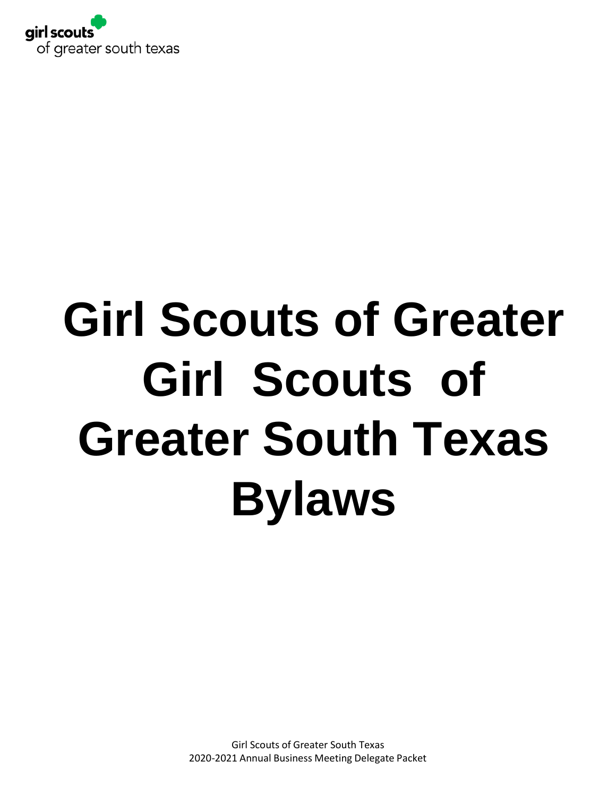

# **Girl Scouts** of **Girl Scouts of Greater Greater South Texas Bylaws**

Girl Scouts of Greater South Texas 2020-2021 Annual Business Meeting Delegate Packet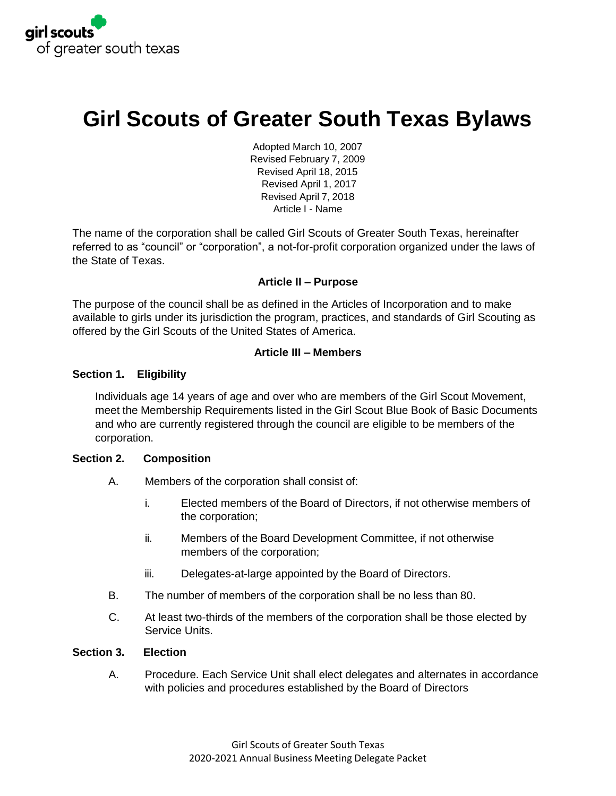

# **Girl Scouts of Greater South Texas Bylaws**

Adopted March 10, 2007 Revised February 7, 2009 Revised April 18, 2015 Revised April 1, 2017 Revised April 7, 2018 Article I - Name

The name of the corporation shall be called Girl Scouts of Greater South Texas, hereinafter referred to as "council" or "corporation", a not-for-profit corporation organized under the laws of the State of Texas.

#### **Article II – Purpose**

The purpose of the council shall be as defined in the Articles of Incorporation and to make available to girls under its jurisdiction the program, practices, and standards of Girl Scouting as offered by the Girl Scouts of the United States of America.

#### **Article III – Members**

#### **Section 1. Eligibility**

Individuals age 14 years of age and over who are members of the Girl Scout Movement, meet the Membership Requirements listed in the Girl Scout Blue Book of Basic Documents and who are currently registered through the council are eligible to be members of the corporation.

#### **Section 2. Composition**

- A. Members of the corporation shall consist of:
	- i. Elected members of the Board of Directors, if not otherwise members of the corporation;
	- ii. Members of the Board Development Committee, if not otherwise members of the corporation;
	- iii. Delegates-at-large appointed by the Board of Directors.
- B. The number of members of the corporation shall be no less than 80.
- C. At least two-thirds of the members of the corporation shall be those elected by Service Units.

#### **Section 3. Election**

A. Procedure. Each Service Unit shall elect delegates and alternates in accordance with policies and procedures established by the Board of Directors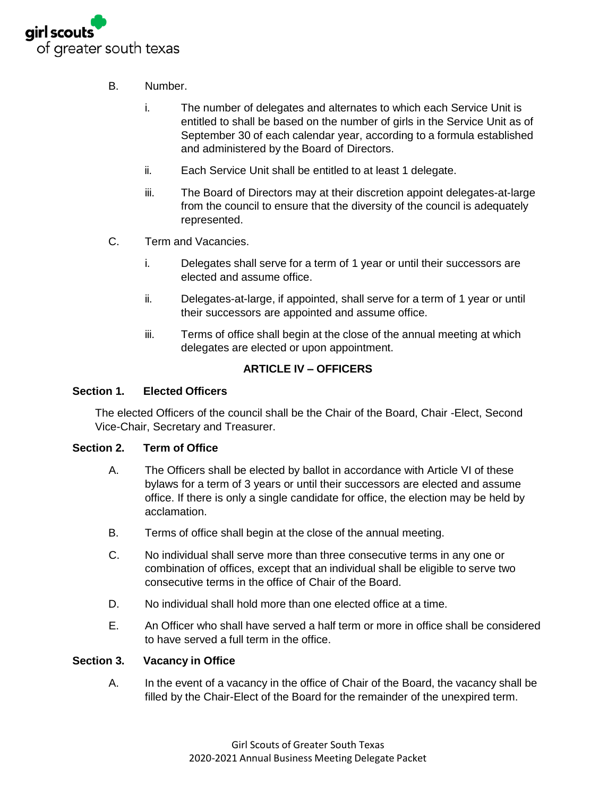

- B. Number.
	- i. The number of delegates and alternates to which each Service Unit is entitled to shall be based on the number of girls in the Service Unit as of September 30 of each calendar year, according to a formula established and administered by the Board of Directors.
	- ii. Each Service Unit shall be entitled to at least 1 delegate.
	- iii. The Board of Directors may at their discretion appoint delegates-at-large from the council to ensure that the diversity of the council is adequately represented.
- C. Term and Vacancies.
	- i. Delegates shall serve for a term of 1 year or until their successors are elected and assume office.
	- ii. Delegates-at-large, if appointed, shall serve for a term of 1 year or until their successors are appointed and assume office.
	- iii. Terms of office shall begin at the close of the annual meeting at which delegates are elected or upon appointment.

#### **ARTICLE IV – OFFICERS**

#### **Section 1. Elected Officers**

The elected Officers of the council shall be the Chair of the Board, Chair -Elect, Second Vice-Chair, Secretary and Treasurer.

#### **Section 2. Term of Office**

- A. The Officers shall be elected by ballot in accordance with Article VI of these bylaws for a term of 3 years or until their successors are elected and assume office. If there is only a single candidate for office, the election may be held by acclamation.
- B. Terms of office shall begin at the close of the annual meeting.
- C. No individual shall serve more than three consecutive terms in any one or combination of offices, except that an individual shall be eligible to serve two consecutive terms in the office of Chair of the Board.
- D. No individual shall hold more than one elected office at a time.
- E. An Officer who shall have served a half term or more in office shall be considered to have served a full term in the office.

#### **Section 3. Vacancy in Office**

A. In the event of a vacancy in the office of Chair of the Board, the vacancy shall be filled by the Chair-Elect of the Board for the remainder of the unexpired term.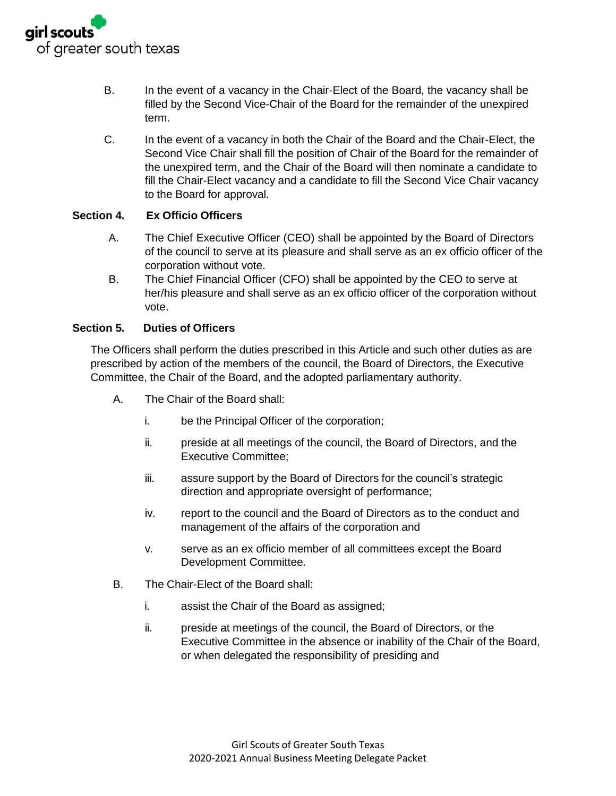

- B. In the event of a vacancy in the Chair-Elect of the Board, the vacancy shall be filled by the Second Vice-Chair of the Board for the remainder of the unexpired term.
- C. In the event of a vacancy in both the Chair of the Board and the Chair-Elect, the Second Vice Chair shall fill the position of Chair of the Board for the remainder of the unexpired term, and the Chair of the Board will then nominate a candidate to fill the Chair-Elect vacancy and a candidate to fill the Second Vice Chair vacancy to the Board for approval.

#### **Section 4. Ex Officio Officers**

- A. The Chief Executive Officer (CEO) shall be appointed by the Board of Directors of the council to serve at its pleasure and shall serve as an ex officio officer of the corporation without vote.
- B. The Chief Financial Officer (CFO) shall be appointed by the CEO to serve at her/his pleasure and shall serve as an ex officio officer of the corporation without vote.

#### **Section 5. Duties of Officers**

The Officers shall perform the duties prescribed in this Article and such other duties as are prescribed by action of the members of the council, the Board of Directors, the Executive Committee, the Chair of the Board, and the adopted parliamentary authority.

- A. The Chair of the Board shall:
	- i. be the Principal Officer of the corporation;
	- ii. preside at all meetings of the council, the Board of Directors, and the Executive Committee;
	- iii. assure support by the Board of Directors for the council's strategic direction and appropriate oversight of performance;
	- iv. report to the council and the Board of Directors as to the conduct and management of the affairs of the corporation and
	- v. serve as an ex officio member of all committees except the Board Development Committee.
- B. The Chair-Elect of the Board shall:
	- i. assist the Chair of the Board as assigned;
	- ii. preside at meetings of the council, the Board of Directors, or the Executive Committee in the absence or inability of the Chair of the Board, or when delegated the responsibility of presiding and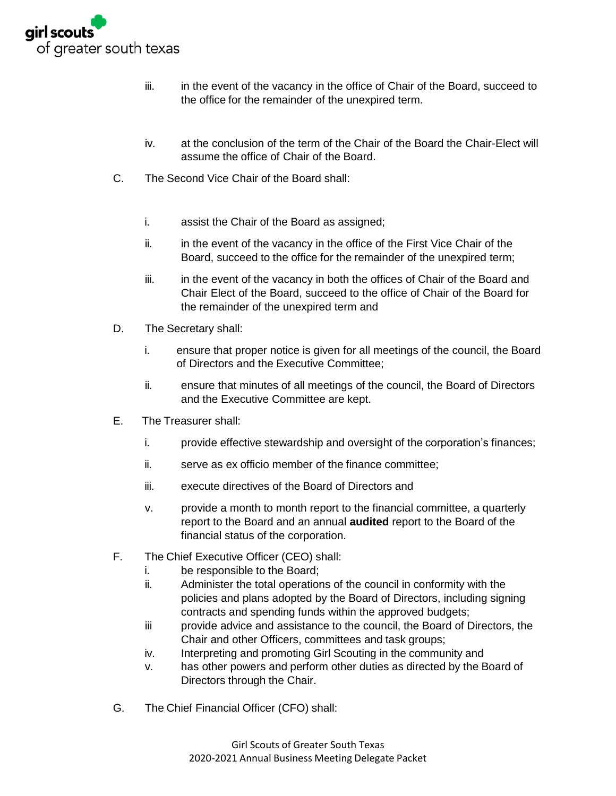

- iii. in the event of the vacancy in the office of Chair of the Board, succeed to the office for the remainder of the unexpired term.
- iv. at the conclusion of the term of the Chair of the Board the Chair-Elect will assume the office of Chair of the Board.
- C. The Second Vice Chair of the Board shall:
	- i. assist the Chair of the Board as assigned;
	- ii. in the event of the vacancy in the office of the First Vice Chair of the Board, succeed to the office for the remainder of the unexpired term;
	- iii. in the event of the vacancy in both the offices of Chair of the Board and Chair Elect of the Board, succeed to the office of Chair of the Board for the remainder of the unexpired term and
- D. The Secretary shall:
	- i. ensure that proper notice is given for all meetings of the council, the Board of Directors and the Executive Committee;
	- ii. ensure that minutes of all meetings of the council, the Board of Directors and the Executive Committee are kept.
- E. The Treasurer shall:
	- i. provide effective stewardship and oversight of the corporation's finances;
	- ii. serve as ex officio member of the finance committee;
	- iii. execute directives of the Board of Directors and
	- v. provide a month to month report to the financial committee, a quarterly report to the Board and an annual **audited** report to the Board of the financial status of the corporation.
- F. The Chief Executive Officer (CEO) shall:
	- i. be responsible to the Board;
	- ii. Administer the total operations of the council in conformity with the policies and plans adopted by the Board of Directors, including signing contracts and spending funds within the approved budgets;
	- iii provide advice and assistance to the council, the Board of Directors, the Chair and other Officers, committees and task groups;
	- iv. Interpreting and promoting Girl Scouting in the community and
	- v. has other powers and perform other duties as directed by the Board of Directors through the Chair.
- G. The Chief Financial Officer (CFO) shall: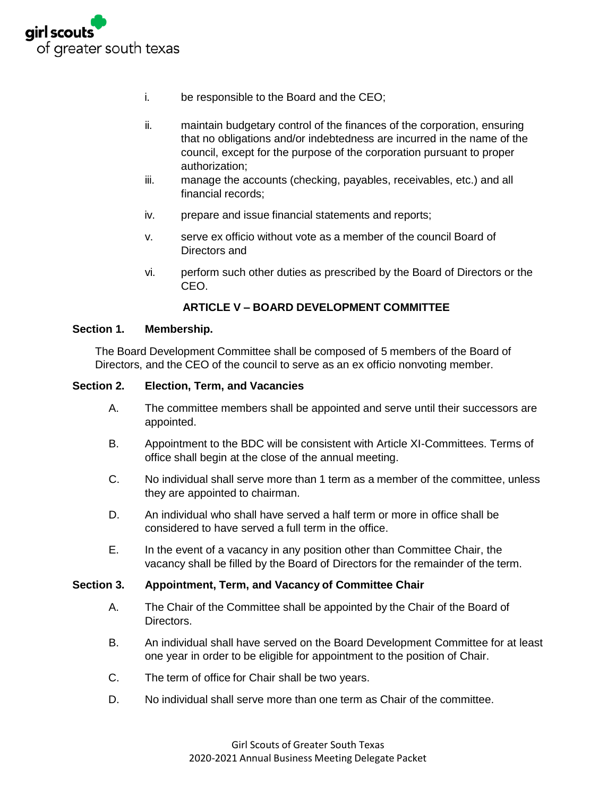

- i. be responsible to the Board and the CEO;
- ii. maintain budgetary control of the finances of the corporation, ensuring that no obligations and/or indebtedness are incurred in the name of the council, except for the purpose of the corporation pursuant to proper authorization;
- iii. manage the accounts (checking, payables, receivables, etc.) and all financial records;
- iv. prepare and issue financial statements and reports;
- v. serve ex officio without vote as a member of the council Board of Directors and
- vi. perform such other duties as prescribed by the Board of Directors or the CEO.

#### **ARTICLE V – BOARD DEVELOPMENT COMMITTEE**

#### **Section 1. Membership.**

The Board Development Committee shall be composed of 5 members of the Board of Directors, and the CEO of the council to serve as an ex officio nonvoting member.

#### **Section 2. Election, Term, and Vacancies**

- A. The committee members shall be appointed and serve until their successors are appointed.
- B. Appointment to the BDC will be consistent with Article XI-Committees. Terms of office shall begin at the close of the annual meeting.
- C. No individual shall serve more than 1 term as a member of the committee, unless they are appointed to chairman.
- D. An individual who shall have served a half term or more in office shall be considered to have served a full term in the office.
- E. In the event of a vacancy in any position other than Committee Chair, the vacancy shall be filled by the Board of Directors for the remainder of the term.

#### **Section 3. Appointment, Term, and Vacancy of Committee Chair**

- A. The Chair of the Committee shall be appointed by the Chair of the Board of Directors.
- B. An individual shall have served on the Board Development Committee for at least one year in order to be eligible for appointment to the position of Chair.
- C. The term of office for Chair shall be two years.
- D. No individual shall serve more than one term as Chair of the committee.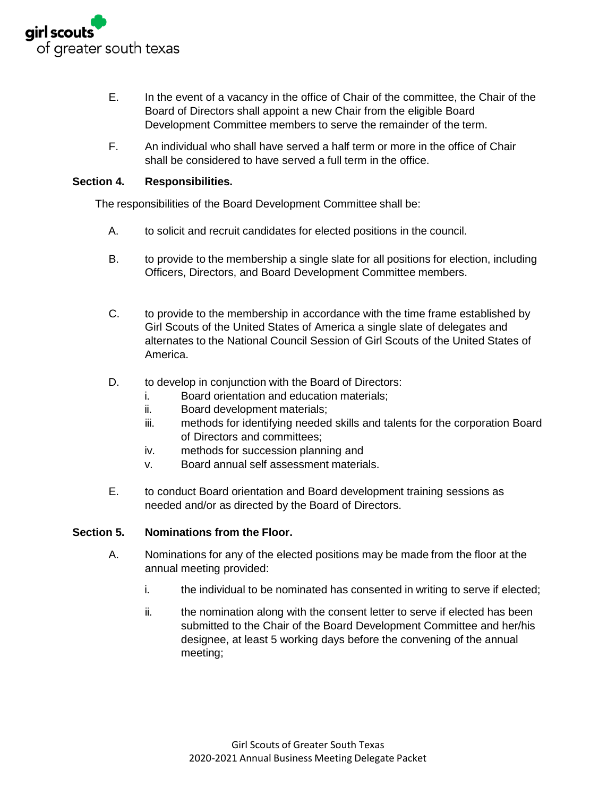

- E. In the event of a vacancy in the office of Chair of the committee, the Chair of the Board of Directors shall appoint a new Chair from the eligible Board Development Committee members to serve the remainder of the term.
- F. An individual who shall have served a half term or more in the office of Chair shall be considered to have served a full term in the office.

#### **Section 4. Responsibilities.**

The responsibilities of the Board Development Committee shall be:

- A. to solicit and recruit candidates for elected positions in the council.
- B. to provide to the membership a single slate for all positions for election, including Officers, Directors, and Board Development Committee members.
- C. to provide to the membership in accordance with the time frame established by Girl Scouts of the United States of America a single slate of delegates and alternates to the National Council Session of Girl Scouts of the United States of America.
- D. to develop in conjunction with the Board of Directors:
	- i. Board orientation and education materials;
	- ii. Board development materials;
	- iii. methods for identifying needed skills and talents for the corporation Board of Directors and committees;
	- iv. methods for succession planning and
	- v. Board annual self assessment materials.
- E. to conduct Board orientation and Board development training sessions as needed and/or as directed by the Board of Directors.

#### **Section 5. Nominations from the Floor.**

- A. Nominations for any of the elected positions may be made from the floor at the annual meeting provided:
	- i. the individual to be nominated has consented in writing to serve if elected;
	- ii. the nomination along with the consent letter to serve if elected has been submitted to the Chair of the Board Development Committee and her/his designee, at least 5 working days before the convening of the annual meeting;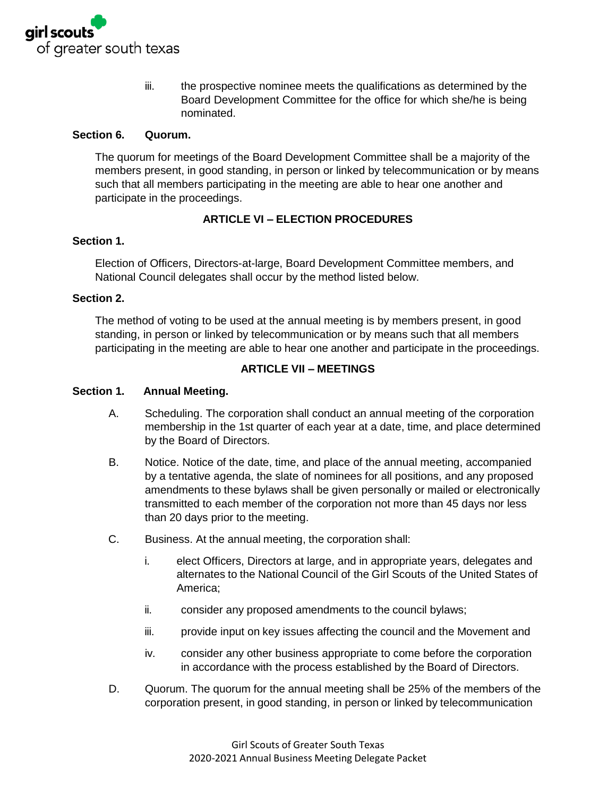

iii. the prospective nominee meets the qualifications as determined by the Board Development Committee for the office for which she/he is being nominated.

#### **Section 6. Quorum.**

The quorum for meetings of the Board Development Committee shall be a majority of the members present, in good standing, in person or linked by telecommunication or by means such that all members participating in the meeting are able to hear one another and participate in the proceedings.

#### **ARTICLE VI – ELECTION PROCEDURES**

#### **Section 1.**

Election of Officers, Directors-at-large, Board Development Committee members, and National Council delegates shall occur by the method listed below.

#### **Section 2.**

The method of voting to be used at the annual meeting is by members present, in good standing, in person or linked by telecommunication or by means such that all members participating in the meeting are able to hear one another and participate in the proceedings.

#### **ARTICLE VII – MEETINGS**

#### **Section 1. Annual Meeting.**

- A. Scheduling. The corporation shall conduct an annual meeting of the corporation membership in the 1st quarter of each year at a date, time, and place determined by the Board of Directors.
- B. Notice. Notice of the date, time, and place of the annual meeting, accompanied by a tentative agenda, the slate of nominees for all positions, and any proposed amendments to these bylaws shall be given personally or mailed or electronically transmitted to each member of the corporation not more than 45 days nor less than 20 days prior to the meeting.
- C. Business. At the annual meeting, the corporation shall:
	- i. elect Officers, Directors at large, and in appropriate years, delegates and alternates to the National Council of the Girl Scouts of the United States of America;
	- ii. consider any proposed amendments to the council bylaws;
	- iii. provide input on key issues affecting the council and the Movement and
	- iv. consider any other business appropriate to come before the corporation in accordance with the process established by the Board of Directors.
- D. Quorum. The quorum for the annual meeting shall be 25% of the members of the corporation present, in good standing, in person or linked by telecommunication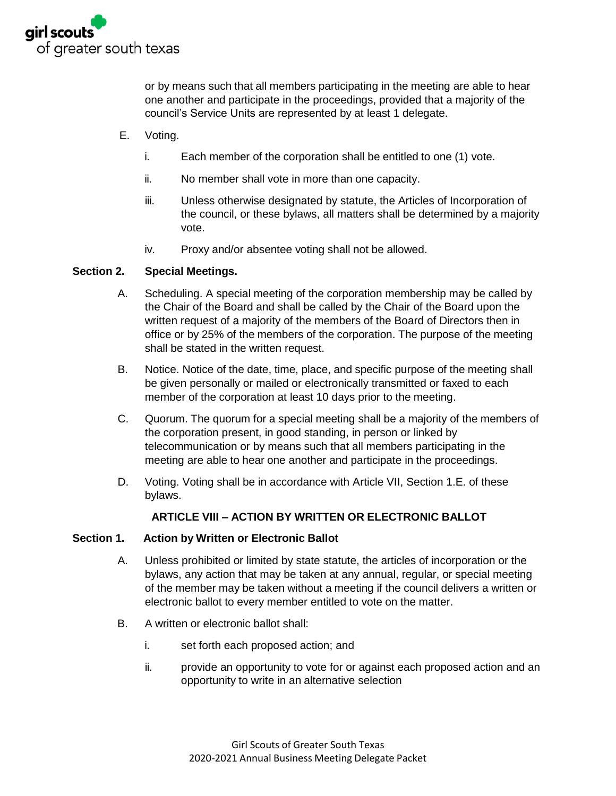

or by means such that all members participating in the meeting are able to hear one another and participate in the proceedings, provided that a majority of the council's Service Units are represented by at least 1 delegate.

- E. Voting.
	- i. Each member of the corporation shall be entitled to one (1) vote.
	- ii. No member shall vote in more than one capacity.
	- iii. Unless otherwise designated by statute, the Articles of Incorporation of the council, or these bylaws, all matters shall be determined by a majority vote.
	- iv. Proxy and/or absentee voting shall not be allowed.

#### **Section 2. Special Meetings.**

- A. Scheduling. A special meeting of the corporation membership may be called by the Chair of the Board and shall be called by the Chair of the Board upon the written request of a majority of the members of the Board of Directors then in office or by 25% of the members of the corporation. The purpose of the meeting shall be stated in the written request.
- B. Notice. Notice of the date, time, place, and specific purpose of the meeting shall be given personally or mailed or electronically transmitted or faxed to each member of the corporation at least 10 days prior to the meeting.
- C. Quorum. The quorum for a special meeting shall be a majority of the members of the corporation present, in good standing, in person or linked by telecommunication or by means such that all members participating in the meeting are able to hear one another and participate in the proceedings.
- D. Voting. Voting shall be in accordance with Article VII, Section 1.E. of these bylaws.

#### **ARTICLE VIII – ACTION BY WRITTEN OR ELECTRONIC BALLOT**

#### **Section 1. Action by Written or Electronic Ballot**

- A. Unless prohibited or limited by state statute, the articles of incorporation or the bylaws, any action that may be taken at any annual, regular, or special meeting of the member may be taken without a meeting if the council delivers a written or electronic ballot to every member entitled to vote on the matter.
- B. A written or electronic ballot shall:
	- i. set forth each proposed action; and
	- ii. provide an opportunity to vote for or against each proposed action and an opportunity to write in an alternative selection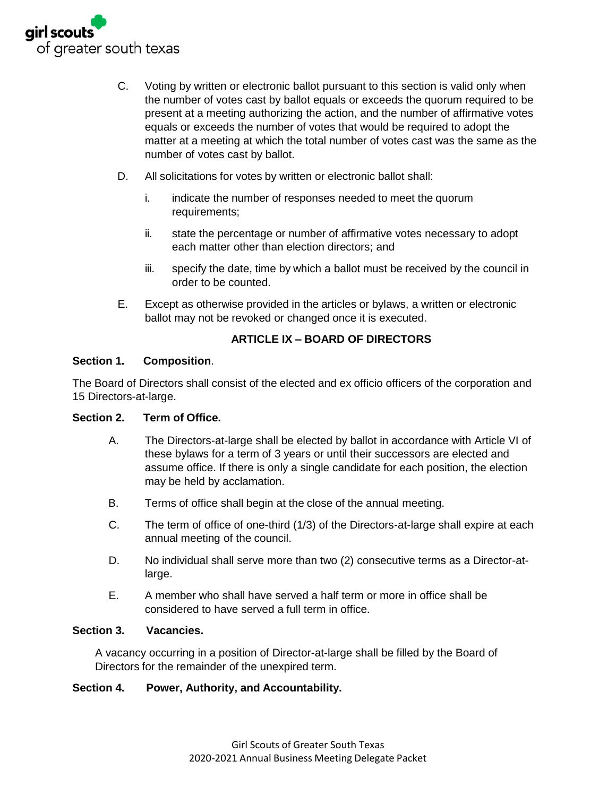

- C. Voting by written or electronic ballot pursuant to this section is valid only when the number of votes cast by ballot equals or exceeds the quorum required to be present at a meeting authorizing the action, and the number of affirmative votes equals or exceeds the number of votes that would be required to adopt the matter at a meeting at which the total number of votes cast was the same as the number of votes cast by ballot.
- D. All solicitations for votes by written or electronic ballot shall:
	- i. indicate the number of responses needed to meet the quorum requirements;
	- ii. state the percentage or number of affirmative votes necessary to adopt each matter other than election directors; and
	- iii. specify the date, time by which a ballot must be received by the council in order to be counted.
- E. Except as otherwise provided in the articles or bylaws, a written or electronic ballot may not be revoked or changed once it is executed.

#### **ARTICLE IX – BOARD OF DIRECTORS**

#### **Section 1. Composition**.

The Board of Directors shall consist of the elected and ex officio officers of the corporation and 15 Directors-at-large.

#### **Section 2. Term of Office.**

- A. The Directors-at-large shall be elected by ballot in accordance with Article VI of these bylaws for a term of 3 years or until their successors are elected and assume office. If there is only a single candidate for each position, the election may be held by acclamation.
- B. Terms of office shall begin at the close of the annual meeting.
- C. The term of office of one-third (1/3) of the Directors-at-large shall expire at each annual meeting of the council.
- D. No individual shall serve more than two (2) consecutive terms as a Director-atlarge.
- E. A member who shall have served a half term or more in office shall be considered to have served a full term in office.

#### **Section 3. Vacancies.**

A vacancy occurring in a position of Director-at-large shall be filled by the Board of Directors for the remainder of the unexpired term.

#### **Section 4. Power, Authority, and Accountability.**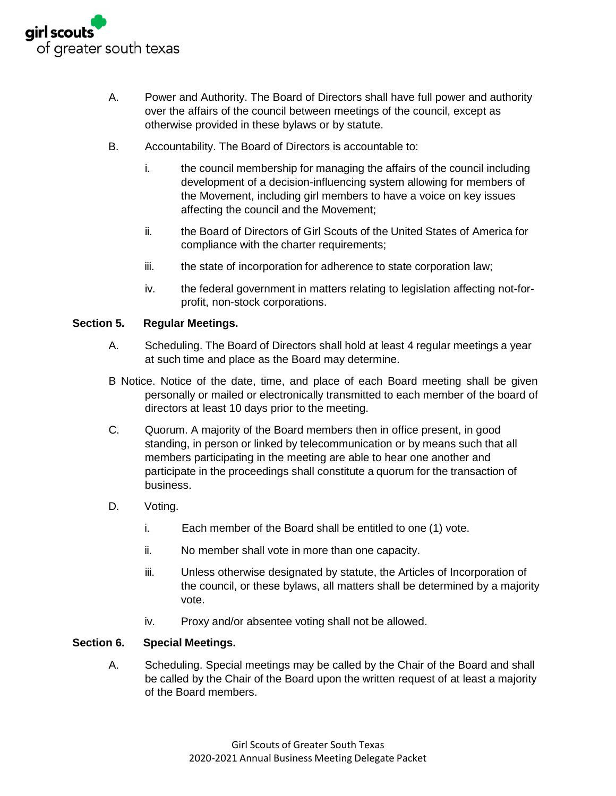

- A. Power and Authority. The Board of Directors shall have full power and authority over the affairs of the council between meetings of the council, except as otherwise provided in these bylaws or by statute.
- B. Accountability. The Board of Directors is accountable to:
	- i. the council membership for managing the affairs of the council including development of a decision-influencing system allowing for members of the Movement, including girl members to have a voice on key issues affecting the council and the Movement;
	- ii. the Board of Directors of Girl Scouts of the United States of America for compliance with the charter requirements;
	- iii. the state of incorporation for adherence to state corporation law;
	- iv. the federal government in matters relating to legislation affecting not-forprofit, non-stock corporations.

#### **Section 5. Regular Meetings.**

- A. Scheduling. The Board of Directors shall hold at least 4 regular meetings a year at such time and place as the Board may determine.
- B Notice. Notice of the date, time, and place of each Board meeting shall be given personally or mailed or electronically transmitted to each member of the board of directors at least 10 days prior to the meeting.
- C. Quorum. A majority of the Board members then in office present, in good standing, in person or linked by telecommunication or by means such that all members participating in the meeting are able to hear one another and participate in the proceedings shall constitute a quorum for the transaction of business.
- D. Voting.
	- i. Each member of the Board shall be entitled to one (1) vote.
	- ii. No member shall vote in more than one capacity.
	- iii. Unless otherwise designated by statute, the Articles of Incorporation of the council, or these bylaws, all matters shall be determined by a majority vote.
	- iv. Proxy and/or absentee voting shall not be allowed.

#### **Section 6. Special Meetings.**

A. Scheduling. Special meetings may be called by the Chair of the Board and shall be called by the Chair of the Board upon the written request of at least a majority of the Board members.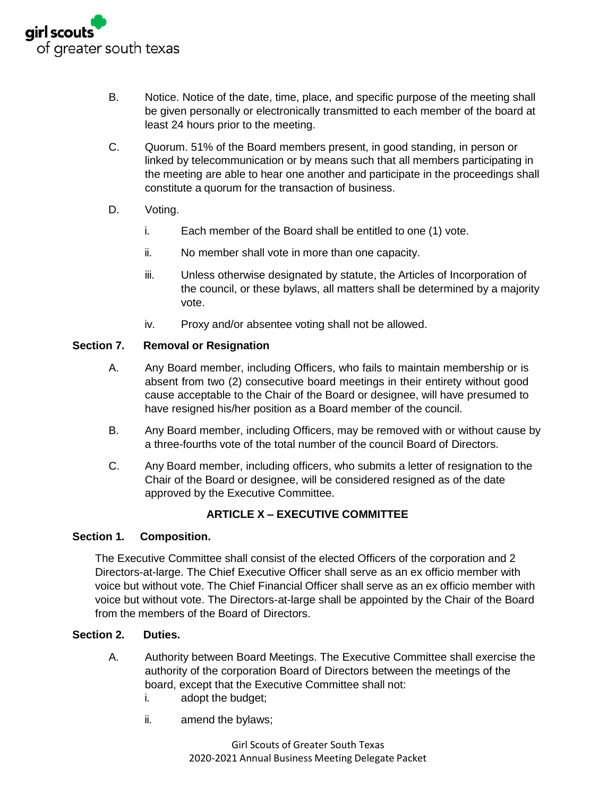

- B. Notice. Notice of the date, time, place, and specific purpose of the meeting shall be given personally or electronically transmitted to each member of the board at least 24 hours prior to the meeting.
- C. Quorum. 51% of the Board members present, in good standing, in person or linked by telecommunication or by means such that all members participating in the meeting are able to hear one another and participate in the proceedings shall constitute a quorum for the transaction of business.
- D. Voting.
	- i. Each member of the Board shall be entitled to one (1) vote.
	- ii. No member shall vote in more than one capacity.
	- iii. Unless otherwise designated by statute, the Articles of Incorporation of the council, or these bylaws, all matters shall be determined by a majority vote.
	- iv. Proxy and/or absentee voting shall not be allowed.

#### **Section 7. Removal or Resignation**

- A. Any Board member, including Officers, who fails to maintain membership or is absent from two (2) consecutive board meetings in their entirety without good cause acceptable to the Chair of the Board or designee, will have presumed to have resigned his/her position as a Board member of the council.
- B. Any Board member, including Officers, may be removed with or without cause by a three-fourths vote of the total number of the council Board of Directors.
- C. Any Board member, including officers, who submits a letter of resignation to the Chair of the Board or designee, will be considered resigned as of the date approved by the Executive Committee.

#### **ARTICLE X – EXECUTIVE COMMITTEE**

#### **Section 1. Composition.**

The Executive Committee shall consist of the elected Officers of the corporation and 2 Directors-at-large. The Chief Executive Officer shall serve as an ex officio member with voice but without vote. The Chief Financial Officer shall serve as an ex officio member with voice but without vote. The Directors-at-large shall be appointed by the Chair of the Board from the members of the Board of Directors.

#### **Section 2. Duties.**

- A. Authority between Board Meetings. The Executive Committee shall exercise the authority of the corporation Board of Directors between the meetings of the board, except that the Executive Committee shall not:
	- i. adopt the budget;
	- ii. amend the bylaws;

Girl Scouts of Greater South Texas 2020-2021 Annual Business Meeting Delegate Packet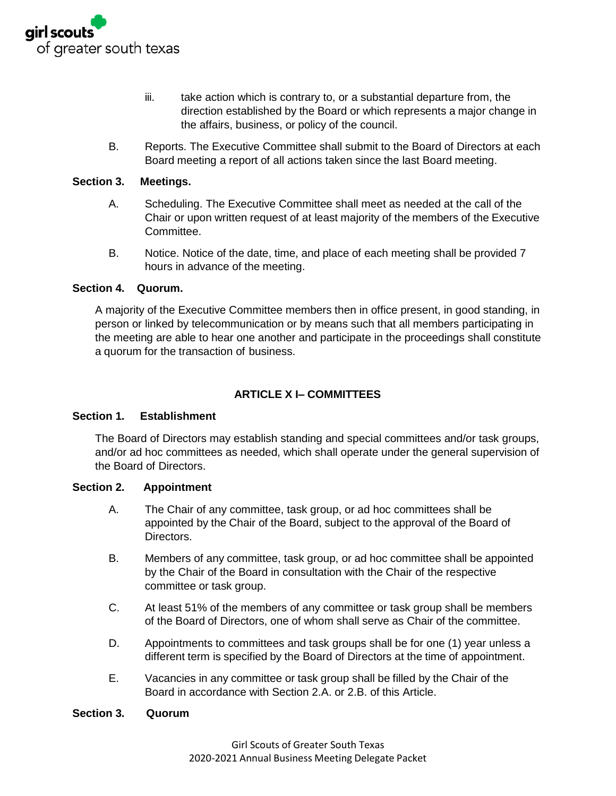

- iii. take action which is contrary to, or a substantial departure from, the direction established by the Board or which represents a major change in the affairs, business, or policy of the council.
- B. Reports. The Executive Committee shall submit to the Board of Directors at each Board meeting a report of all actions taken since the last Board meeting.

#### **Section 3. Meetings.**

- A. Scheduling. The Executive Committee shall meet as needed at the call of the Chair or upon written request of at least majority of the members of the Executive Committee.
- B. Notice. Notice of the date, time, and place of each meeting shall be provided 7 hours in advance of the meeting.

#### **Section 4. Quorum.**

A majority of the Executive Committee members then in office present, in good standing, in person or linked by telecommunication or by means such that all members participating in the meeting are able to hear one another and participate in the proceedings shall constitute a quorum for the transaction of business.

#### **ARTICLE X I– COMMITTEES**

#### **Section 1. Establishment**

The Board of Directors may establish standing and special committees and/or task groups, and/or ad hoc committees as needed, which shall operate under the general supervision of the Board of Directors.

#### **Section 2. Appointment**

- A. The Chair of any committee, task group, or ad hoc committees shall be appointed by the Chair of the Board, subject to the approval of the Board of Directors.
- B. Members of any committee, task group, or ad hoc committee shall be appointed by the Chair of the Board in consultation with the Chair of the respective committee or task group.
- C. At least 51% of the members of any committee or task group shall be members of the Board of Directors, one of whom shall serve as Chair of the committee.
- D. Appointments to committees and task groups shall be for one (1) year unless a different term is specified by the Board of Directors at the time of appointment.
- E. Vacancies in any committee or task group shall be filled by the Chair of the Board in accordance with Section 2.A. or 2.B. of this Article.

#### **Section 3. Quorum**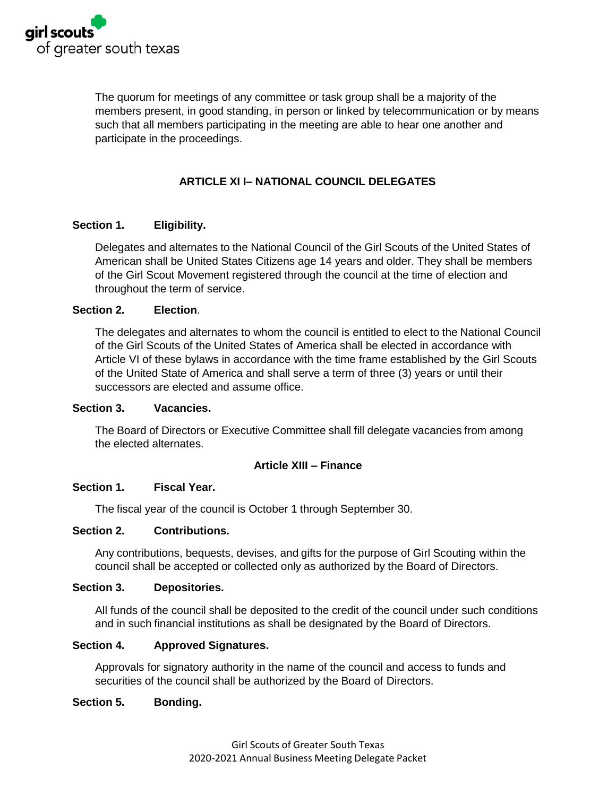

The quorum for meetings of any committee or task group shall be a majority of the members present, in good standing, in person or linked by telecommunication or by means such that all members participating in the meeting are able to hear one another and participate in the proceedings.

#### **ARTICLE XI I– NATIONAL COUNCIL DELEGATES**

#### **Section 1. Eligibility.**

Delegates and alternates to the National Council of the Girl Scouts of the United States of American shall be United States Citizens age 14 years and older. They shall be members of the Girl Scout Movement registered through the council at the time of election and throughout the term of service.

#### **Section 2. Election**.

The delegates and alternates to whom the council is entitled to elect to the National Council of the Girl Scouts of the United States of America shall be elected in accordance with Article VI of these bylaws in accordance with the time frame established by the Girl Scouts of the United State of America and shall serve a term of three (3) years or until their successors are elected and assume office.

#### **Section 3. Vacancies.**

The Board of Directors or Executive Committee shall fill delegate vacancies from among the elected alternates.

#### **Article XIII – Finance**

#### **Section 1. Fiscal Year.**

The fiscal year of the council is October 1 through September 30.

#### **Section 2. Contributions.**

Any contributions, bequests, devises, and gifts for the purpose of Girl Scouting within the council shall be accepted or collected only as authorized by the Board of Directors.

#### **Section 3. Depositories.**

All funds of the council shall be deposited to the credit of the council under such conditions and in such financial institutions as shall be designated by the Board of Directors.

#### **Section 4. Approved Signatures.**

Approvals for signatory authority in the name of the council and access to funds and securities of the council shall be authorized by the Board of Directors.

#### **Section 5. Bonding.**